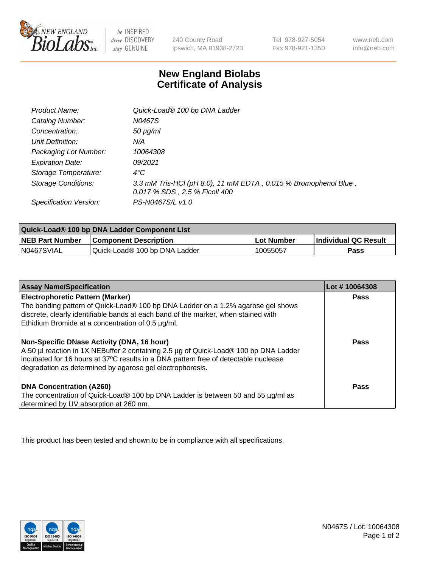

 $be$  INSPIRED drive DISCOVERY stay GENUINE

240 County Road Ipswich, MA 01938-2723 Tel 978-927-5054 Fax 978-921-1350 www.neb.com info@neb.com

## **New England Biolabs Certificate of Analysis**

| Product Name:              | Quick-Load® 100 bp DNA Ladder                                                                    |
|----------------------------|--------------------------------------------------------------------------------------------------|
| Catalog Number:            | N0467S                                                                                           |
| Concentration:             | $50 \mu g/ml$                                                                                    |
| Unit Definition:           | N/A                                                                                              |
| Packaging Lot Number:      | 10064308                                                                                         |
| <b>Expiration Date:</b>    | 09/2021                                                                                          |
| Storage Temperature:       | $4^{\circ}$ C                                                                                    |
| <b>Storage Conditions:</b> | 3.3 mM Tris-HCl (pH 8.0), 11 mM EDTA, 0.015 % Bromophenol Blue,<br>0.017 % SDS, 2.5 % Ficoll 400 |
| Specification Version:     | PS-N0467S/L v1.0                                                                                 |

| Quick-Load® 100 bp DNA Ladder Component List |                               |            |                             |  |
|----------------------------------------------|-------------------------------|------------|-----------------------------|--|
| <b>NEB Part Number</b>                       | <b>Component Description</b>  | Lot Number | <b>Individual QC Result</b> |  |
| N0467SVIAL                                   | Quick-Load® 100 bp DNA Ladder | 10055057   | <b>Pass</b>                 |  |

| <b>Assay Name/Specification</b>                                                                                                                                                                                                                                                        | Lot #10064308 |
|----------------------------------------------------------------------------------------------------------------------------------------------------------------------------------------------------------------------------------------------------------------------------------------|---------------|
| <b>Electrophoretic Pattern (Marker)</b><br>The banding pattern of Quick-Load® 100 bp DNA Ladder on a 1.2% agarose gel shows<br>discrete, clearly identifiable bands at each band of the marker, when stained with<br>Ethidium Bromide at a concentration of 0.5 µg/ml.                 | <b>Pass</b>   |
| Non-Specific DNase Activity (DNA, 16 hour)<br>A 50 µl reaction in 1X NEBuffer 2 containing 2.5 µg of Quick-Load® 100 bp DNA Ladder<br>incubated for 16 hours at 37°C results in a DNA pattern free of detectable nuclease<br>degradation as determined by agarose gel electrophoresis. | Pass          |
| DNA Concentration (A260)<br>The concentration of Quick-Load® 100 bp DNA Ladder is between 50 and 55 µg/ml as<br>determined by UV absorption at 260 nm.                                                                                                                                 | Pass          |

This product has been tested and shown to be in compliance with all specifications.